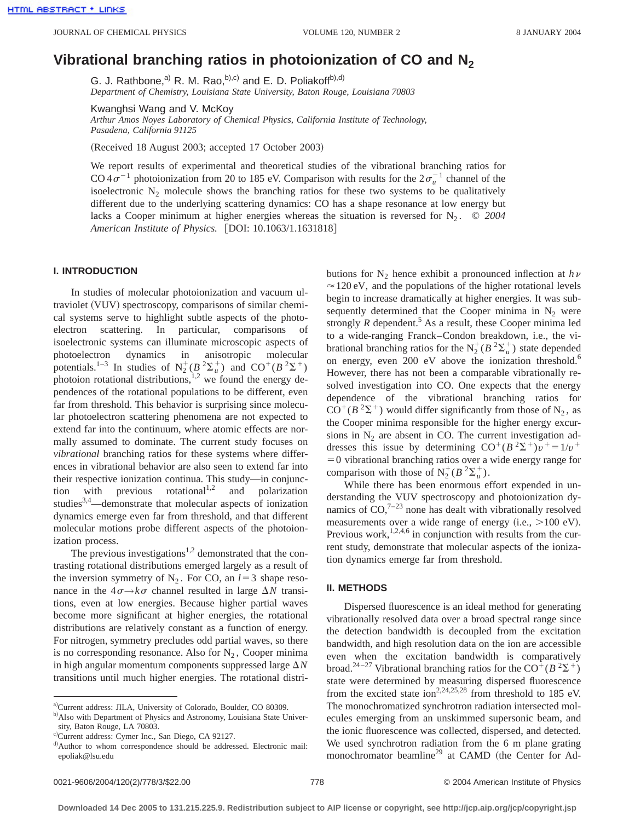# **Vibrational branching ratios in photoionization of CO and N2**

G. J. Rathbone,<sup>a)</sup> R. M. Rao,<sup>b),c)</sup> and E. D. Poliakoff<sup>b),d)</sup> *Department of Chemistry, Louisiana State University, Baton Rouge, Louisiana 70803*

Kwanghsi Wang and V. McKoy *Arthur Amos Noyes Laboratory of Chemical Physics, California Institute of Technology, Pasadena, California 91125*

(Received 18 August 2003; accepted 17 October 2003)

We report results of experimental and theoretical studies of the vibrational branching ratios for CO  $4\sigma^{-1}$  photoionization from 20 to 185 eV. Comparison with results for the  $2\sigma_u^{-1}$  channel of the isoelectronic  $N_2$  molecule shows the branching ratios for these two systems to be qualitatively different due to the underlying scattering dynamics: CO has a shape resonance at low energy but lacks a Cooper minimum at higher energies whereas the situation is reversed for  $N_2$ .  $\odot$  2004 *American Institute of Physics.* [DOI: 10.1063/1.1631818]

### **I. INTRODUCTION**

In studies of molecular photoionization and vacuum ultraviolet (VUV) spectroscopy, comparisons of similar chemical systems serve to highlight subtle aspects of the photoelectron scattering. In particular, comparisons of isoelectronic systems can illuminate microscopic aspects of photoelectron dynamics in anisotropic molecular potentials.<sup>1-3</sup> In studies of  $N_2^+(B^2\Sigma_u^+)$  and  $CO^+(B^2\Sigma^+)$ photoion rotational distributions,<sup>1,2</sup> we found the energy dependences of the rotational populations to be different, even far from threshold. This behavior is surprising since molecular photoelectron scattering phenomena are not expected to extend far into the continuum, where atomic effects are normally assumed to dominate. The current study focuses on *vibrational* branching ratios for these systems where differences in vibrational behavior are also seen to extend far into their respective ionization continua. This study—in conjunction with previous rotational<sup>1,2</sup> and polarization studies<sup>3,4</sup>—demonstrate that molecular aspects of ionization dynamics emerge even far from threshold, and that different molecular motions probe different aspects of the photoionization process.

The previous investigations<sup>1,2</sup> demonstrated that the contrasting rotational distributions emerged largely as a result of the inversion symmetry of  $N_2$ . For CO, an  $l=3$  shape resonance in the  $4\sigma \rightarrow k\sigma$  channel resulted in large  $\Delta N$  transitions, even at low energies. Because higher partial waves become more significant at higher energies, the rotational distributions are relatively constant as a function of energy. For nitrogen, symmetry precludes odd partial waves, so there is no corresponding resonance. Also for  $N_2$ , Cooper minima in high angular momentum components suppressed large  $\Delta N$ transitions until much higher energies. The rotational distributions for  $N_2$  hence exhibit a pronounced inflection at  $h\nu$  $\approx$  120 eV, and the populations of the higher rotational levels begin to increase dramatically at higher energies. It was subsequently determined that the Cooper minima in  $N_2$  were strongly  $R$  dependent.<sup>5</sup> As a result, these Cooper minima led to a wide-ranging Franck–Condon breakdown, i.e., the vibrational branching ratios for the  $N_2^+(B^2\Sigma_u^+)$  state depended on energy, even 200 eV above the ionization threshold.<sup>6</sup> However, there has not been a comparable vibrationally resolved investigation into CO. One expects that the energy dependence of the vibrational branching ratios for  $CO<sup>+</sup>(B<sup>2</sup>Σ<sup>+</sup>)$  would differ significantly from those of N<sub>2</sub>, as the Cooper minima responsible for the higher energy excursions in  $N_2$  are absent in CO. The current investigation addresses this issue by determining  $CO^{+}(B^2\Sigma^{+})v^{+}=1/v^{+}$  $=0$  vibrational branching ratios over a wide energy range for comparison with those of  $N_2^+(B^2\Sigma_u^+)$ .

While there has been enormous effort expended in understanding the VUV spectroscopy and photoionization dynamics of  $CO<sup>7-23</sup>$  none has dealt with vibrationally resolved measurements over a wide range of energy (i.e.,  $>100 \text{ eV}$ ). Previous work,<sup>1,2,4,6</sup> in conjunction with results from the current study, demonstrate that molecular aspects of the ionization dynamics emerge far from threshold.

# **II. METHODS**

Dispersed fluorescence is an ideal method for generating vibrationally resolved data over a broad spectral range since the detection bandwidth is decoupled from the excitation bandwidth, and high resolution data on the ion are accessible even when the excitation bandwidth is comparatively broad.<sup>24–27</sup> Vibrational branching ratios for the CO<sup>+</sup>( $B^2\Sigma^+$ ) state were determined by measuring dispersed fluorescence from the excited state ion<sup>2,24,25,28</sup> from threshold to 185 eV. The monochromatized synchrotron radiation intersected molecules emerging from an unskimmed supersonic beam, and the ionic fluorescence was collected, dispersed, and detected. We used synchrotron radiation from the 6 m plane grating monochromator beamline<sup>29</sup> at CAMD (the Center for Ad-

a)Current address: JILA, University of Colorado, Boulder, CO 80309.

<sup>&</sup>lt;sup>b)</sup>Also with Department of Physics and Astronomy, Louisiana State University, Baton Rouge, LA 70803.

c)Current address: Cymer Inc., San Diego, CA 92127.

d) Author to whom correspondence should be addressed. Electronic mail: epoliak@lsu.edu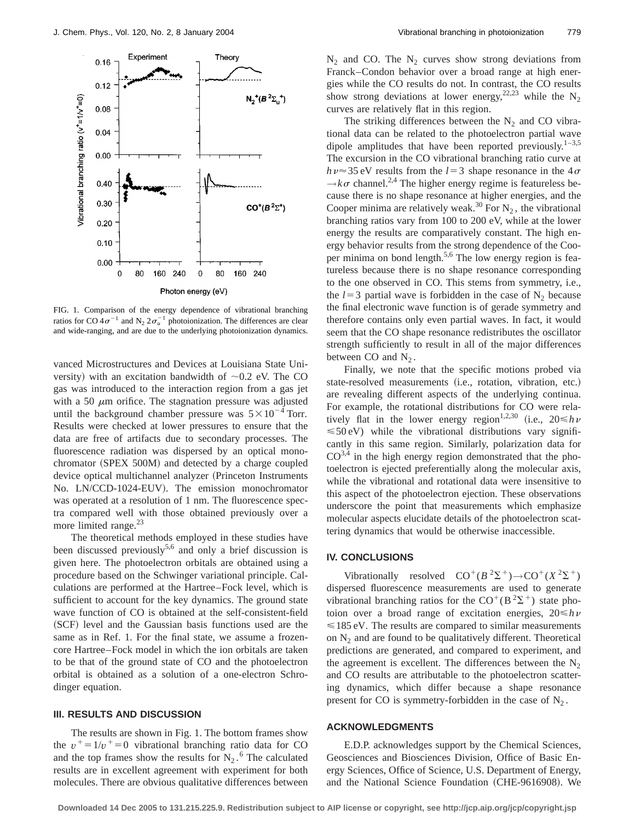

FIG. 1. Comparison of the energy dependence of vibrational branching ratios for CO  $4\sigma^{-1}$  and N<sub>2</sub>  $2\sigma_u^{-1}$  photoionization. The differences are clear and wide-ranging, and are due to the underlying photoionization dynamics.

vanced Microstructures and Devices at Louisiana State University) with an excitation bandwidth of  $\sim 0.2$  eV. The CO gas was introduced to the interaction region from a gas jet with a 50  $\mu$ m orifice. The stagnation pressure was adjusted until the background chamber pressure was  $5 \times 10^{-4}$  Torr. Results were checked at lower pressures to ensure that the data are free of artifacts due to secondary processes. The fluorescence radiation was dispersed by an optical monochromator (SPEX 500M) and detected by a charge coupled device optical multichannel analyzer (Princeton Instruments No. LN/CCD-1024-EUV). The emission monochromator was operated at a resolution of 1 nm. The fluorescence spectra compared well with those obtained previously over a more limited range. $^{23}$ 

The theoretical methods employed in these studies have been discussed previously<sup>5,6</sup> and only a brief discussion is given here. The photoelectron orbitals are obtained using a procedure based on the Schwinger variational principle. Calculations are performed at the Hartree–Fock level, which is sufficient to account for the key dynamics. The ground state wave function of CO is obtained at the self-consistent-field (SCF) level and the Gaussian basis functions used are the same as in Ref. 1. For the final state, we assume a frozencore Hartree–Fock model in which the ion orbitals are taken to be that of the ground state of CO and the photoelectron orbital is obtained as a solution of a one-electron Schrodinger equation.

#### **III. RESULTS AND DISCUSSION**

The results are shown in Fig. 1. The bottom frames show the  $v^+ = 1/v^+ = 0$  vibrational branching ratio data for CO and the top frames show the results for  $N_2$ .<sup>6</sup> The calculated results are in excellent agreement with experiment for both molecules. There are obvious qualitative differences between  $N_2$  and CO. The  $N_2$  curves show strong deviations from Franck–Condon behavior over a broad range at high energies while the CO results do not. In contrast, the CO results show strong deviations at lower energy,  $22,23$  while the N<sub>2</sub> curves are relatively flat in this region.

The striking differences between the  $N_2$  and CO vibrational data can be related to the photoelectron partial wave dipole amplitudes that have been reported previously.<sup>1–3,5</sup> The excursion in the CO vibrational branching ratio curve at  $h\nu \approx 35$  eV results from the  $l=3$  shape resonance in the  $4\sigma$  $\rightarrow k\sigma$  channel.<sup>2,4</sup> The higher energy regime is featureless because there is no shape resonance at higher energies, and the Cooper minima are relatively weak.<sup>30</sup> For  $N_2$ , the vibrational branching ratios vary from 100 to 200 eV, while at the lower energy the results are comparatively constant. The high energy behavior results from the strong dependence of the Cooper minima on bond length.5,6 The low energy region is featureless because there is no shape resonance corresponding to the one observed in CO. This stems from symmetry, i.e., the  $l=3$  partial wave is forbidden in the case of N<sub>2</sub> because the final electronic wave function is of gerade symmetry and therefore contains only even partial waves. In fact, it would seem that the CO shape resonance redistributes the oscillator strength sufficiently to result in all of the major differences between CO and  $N_2$ .

Finally, we note that the specific motions probed via state-resolved measurements (i.e., rotation, vibration, etc.) are revealing different aspects of the underlying continua. For example, the rotational distributions for CO were relatively flat in the lower energy region<sup>1,2,30</sup> (i.e.,  $20 \le h \nu$  $\leq 50 \text{ eV}$ ) while the vibrational distributions vary significantly in this same region. Similarly, polarization data for  $CO<sup>3,4</sup>$  in the high energy region demonstrated that the photoelectron is ejected preferentially along the molecular axis, while the vibrational and rotational data were insensitive to this aspect of the photoelectron ejection. These observations underscore the point that measurements which emphasize molecular aspects elucidate details of the photoelectron scattering dynamics that would be otherwise inaccessible.

## **IV. CONCLUSIONS**

Vibrationally resolved  $CO^+(B^2\Sigma^+) \rightarrow CO^+(X^2\Sigma^+)$ dispersed fluorescence measurements are used to generate vibrational branching ratios for the  $CO<sup>+</sup>(B<sup>2</sup>\Sigma<sup>+</sup>)$  state photoion over a broad range of excitation energies,  $20 \le h \nu$  $\leq 185$  eV. The results are compared to similar measurements on  $N_2$  and are found to be qualitatively different. Theoretical predictions are generated, and compared to experiment, and the agreement is excellent. The differences between the  $N_2$ and CO results are attributable to the photoelectron scattering dynamics, which differ because a shape resonance present for CO is symmetry-forbidden in the case of  $N_2$ .

# **ACKNOWLEDGMENTS**

E.D.P. acknowledges support by the Chemical Sciences, Geosciences and Biosciences Division, Office of Basic Energy Sciences, Office of Science, U.S. Department of Energy, and the National Science Foundation (CHE-9616908). We

**Downloaded 14 Dec 2005 to 131.215.225.9. Redistribution subject to AIP license or copyright, see http://jcp.aip.org/jcp/copyright.jsp**